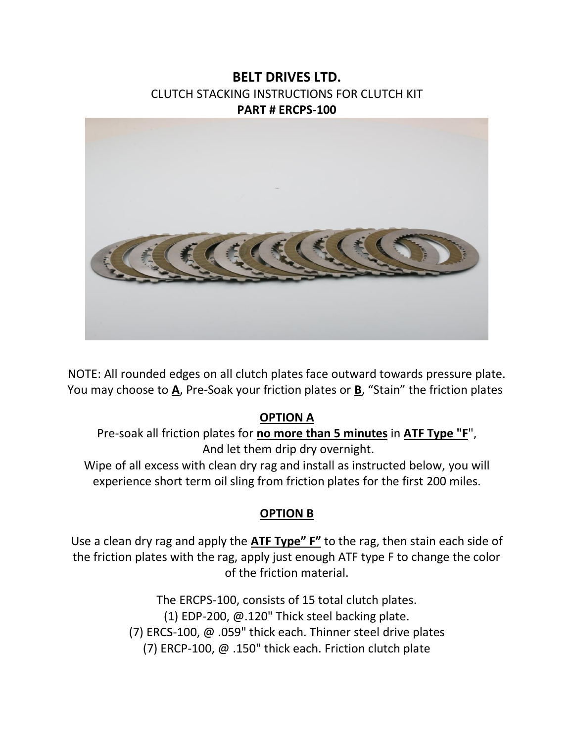# **BELT DRIVES LTD.**  CLUTCH STACKING INSTRUCTIONS FOR CLUTCH KIT **PART # ERCPS-100**



NOTE: All rounded edges on all clutch plates face outward towards pressure plate. You may choose to **A**, Pre-Soak your friction plates or **B**, "Stain" the friction plates

#### **OPTION A**

Pre-soak all friction plates for **no more than 5 minutes** in **ATF Type "F**", And let them drip dry overnight.

Wipe of all excess with clean dry rag and install as instructed below, you will experience short term oil sling from friction plates for the first 200 miles.

### **OPTION B**

Use a clean dry rag and apply the **ATF Type" F"** to the rag, then stain each side of the friction plates with the rag, apply just enough ATF type F to change the color of the friction material.

> The ERCPS-100, consists of 15 total clutch plates. (1) EDP-200, @.120" Thick steel backing plate. (7) ERCS-100, @ .059" thick each. Thinner steel drive plates (7) ERCP-100, @ .150" thick each. Friction clutch plate